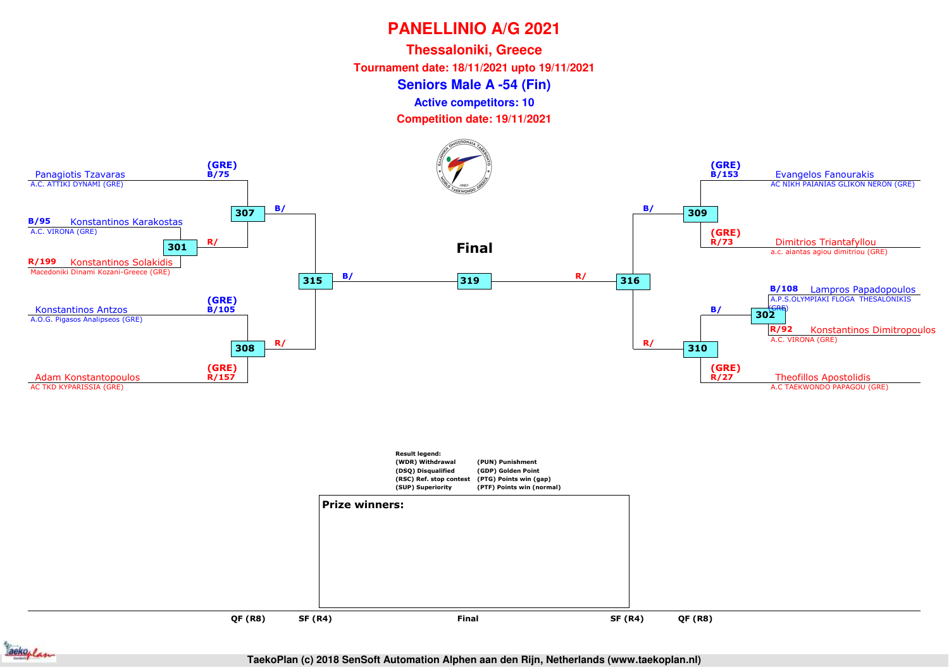**Thessaloniki, Greece**

**Tournament date: 18/11/2021 upto 19/11/2021**

#### **Seniors Male A -54 (Fin)**

**Active competitors: 10**

**Competition date: 19/11/2021**





**TaekoPlan (c) 2018 SenSoft Automation Alphen aan den Rijn, Netherlands (www.taekoplan.nl)**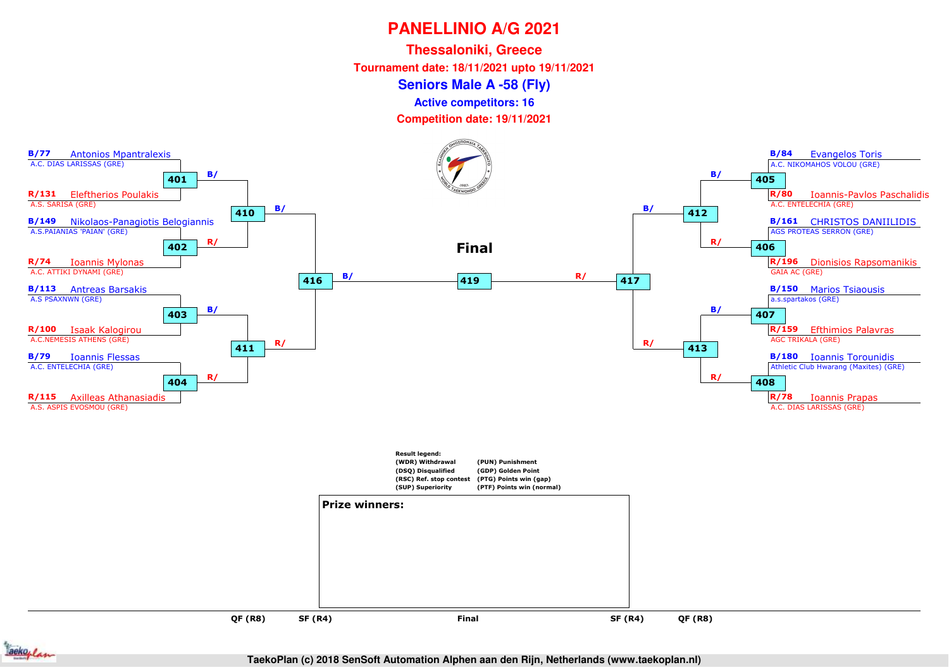**Thessaloniki, Greece**

**Tournament date: 18/11/2021 upto 19/11/2021**

**Seniors Male A -58 (Fly)**

**Active competitors: 16**

**Competition date: 19/11/2021**





**TaekoPlan (c) 2018 SenSoft Automation Alphen aan den Rijn, Netherlands (www.taekoplan.nl)**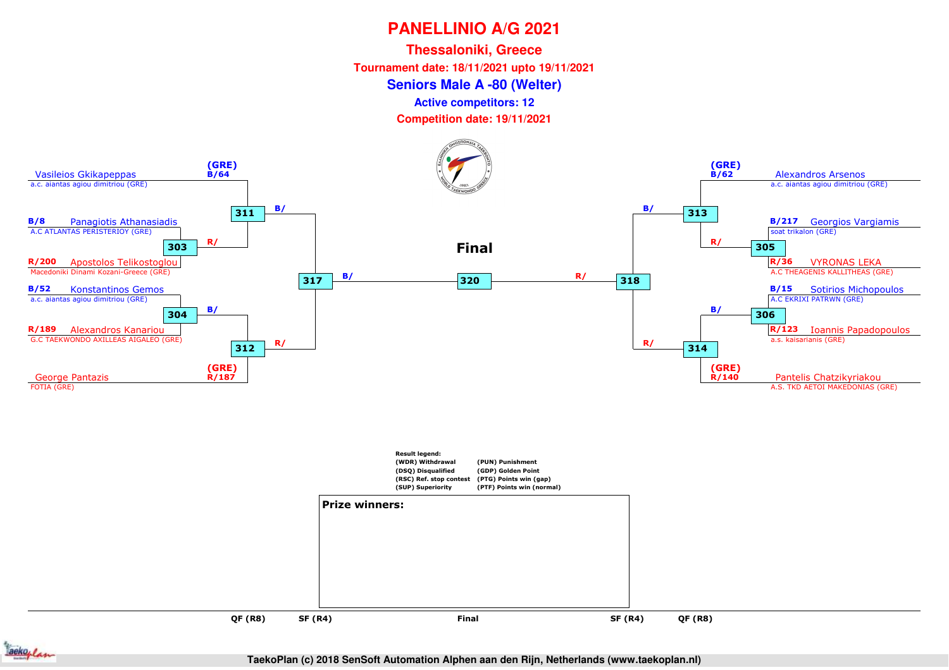**Thessaloniki, Greece**

**Tournament date: 18/11/2021 upto 19/11/2021**

**Seniors Male A -80 (Welter)**

**Active competitors: 12**

**Competition date: 19/11/2021**



ackoplan

**QF (R8)**

**SF (R4)**

**TaekoPlan (c) 2018 SenSoft Automation Alphen aan den Rijn, Netherlands (www.taekoplan.nl)**

**QF (R8)**

and **SF (R4)** Final SF (R4)

**Final**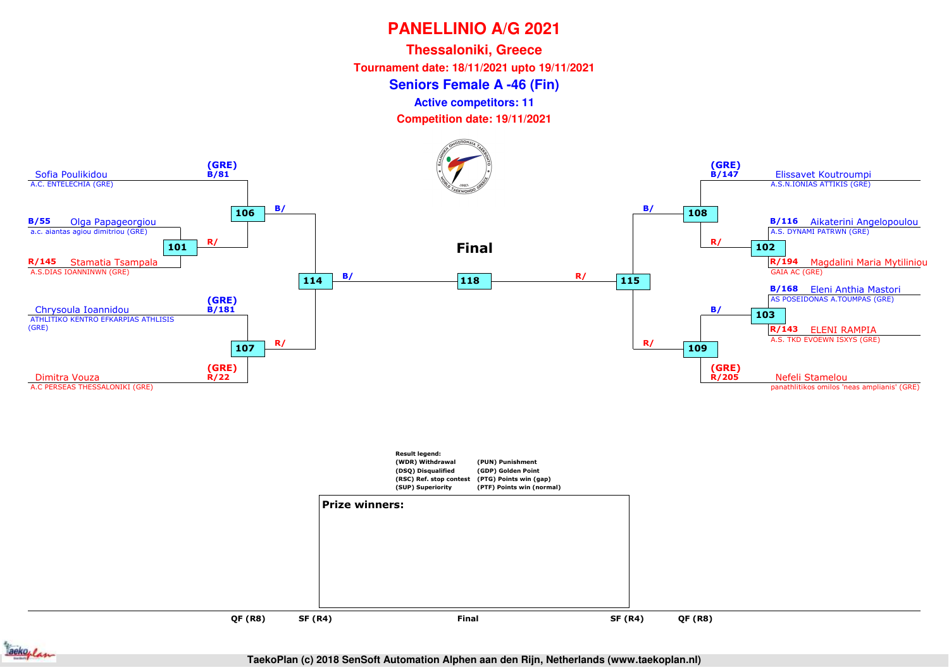**Thessaloniki, Greece**

**Tournament date: 18/11/2021 upto 19/11/2021**

**Seniors Female A -46 (Fin)**

**Active competitors: 11**

**Competition date: 19/11/2021**





**TaekoPlan (c) 2018 SenSoft Automation Alphen aan den Rijn, Netherlands (www.taekoplan.nl)**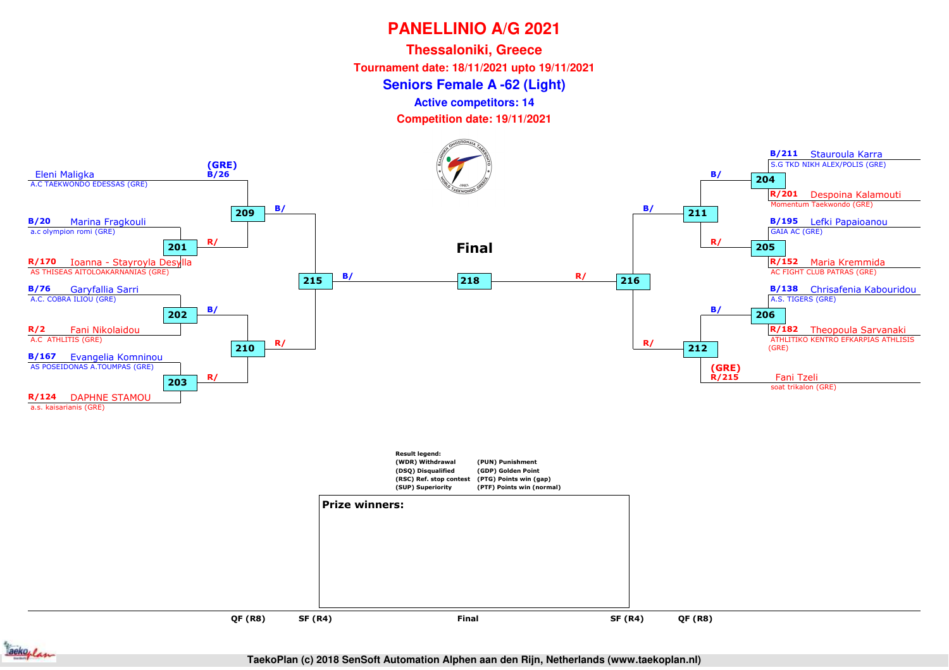**Thessaloniki, GreeceTournament date: 18/11/2021 upto 19/11/2021**

**Seniors Female A -62 (Light)**

**Active competitors: 14**

**Competition date: 19/11/2021**





**TaekoPlan (c) 2018 SenSoft Automation Alphen aan den Rijn, Netherlands (www.taekoplan.nl)**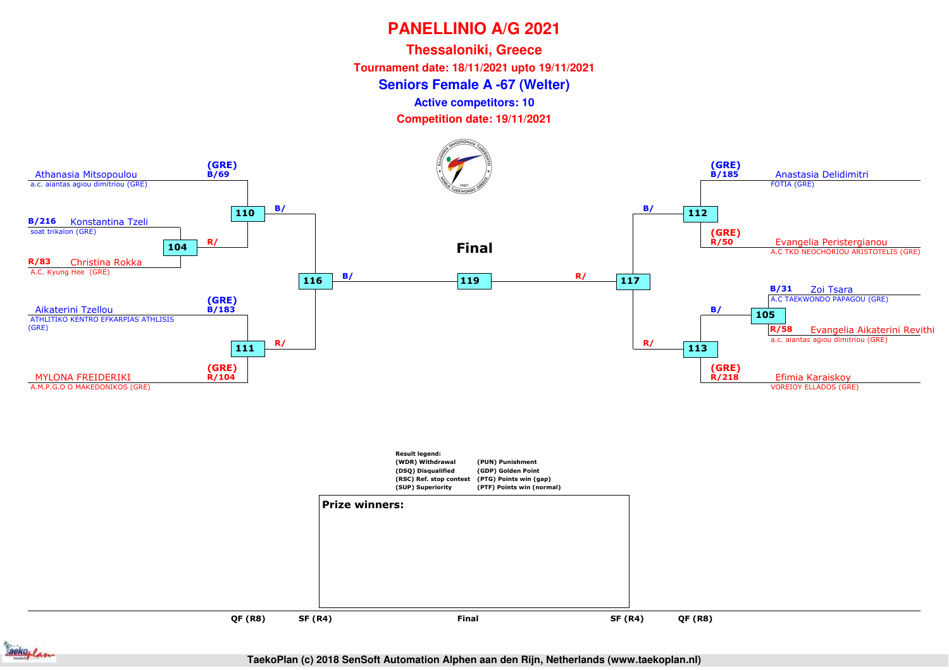**Thessaloniki, Greece**

**Tournament date: 18/11/2021 upto 19/11/2021**

#### **Seniors Female A -67 (Welter)**

**Active competitors: 10**

**Competition date: 19/11/2021**



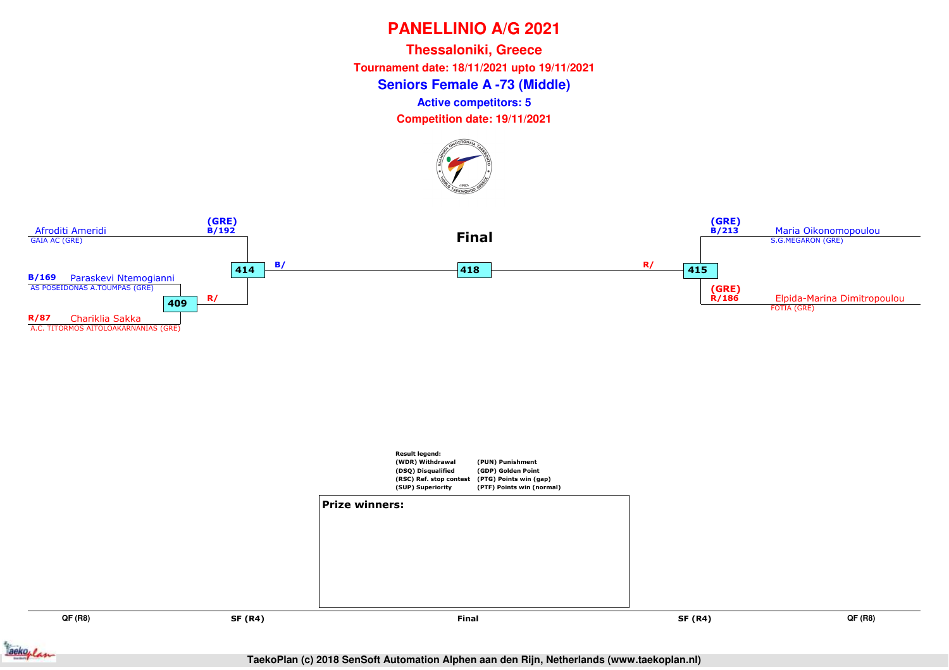**Seniors Female A -73 (Middle)Thessaloniki, Greece Tournament date: 18/11/2021 upto 19/11/2021Active competitors: 5**

**Competition date: 19/11/2021**







**QF (R8)**